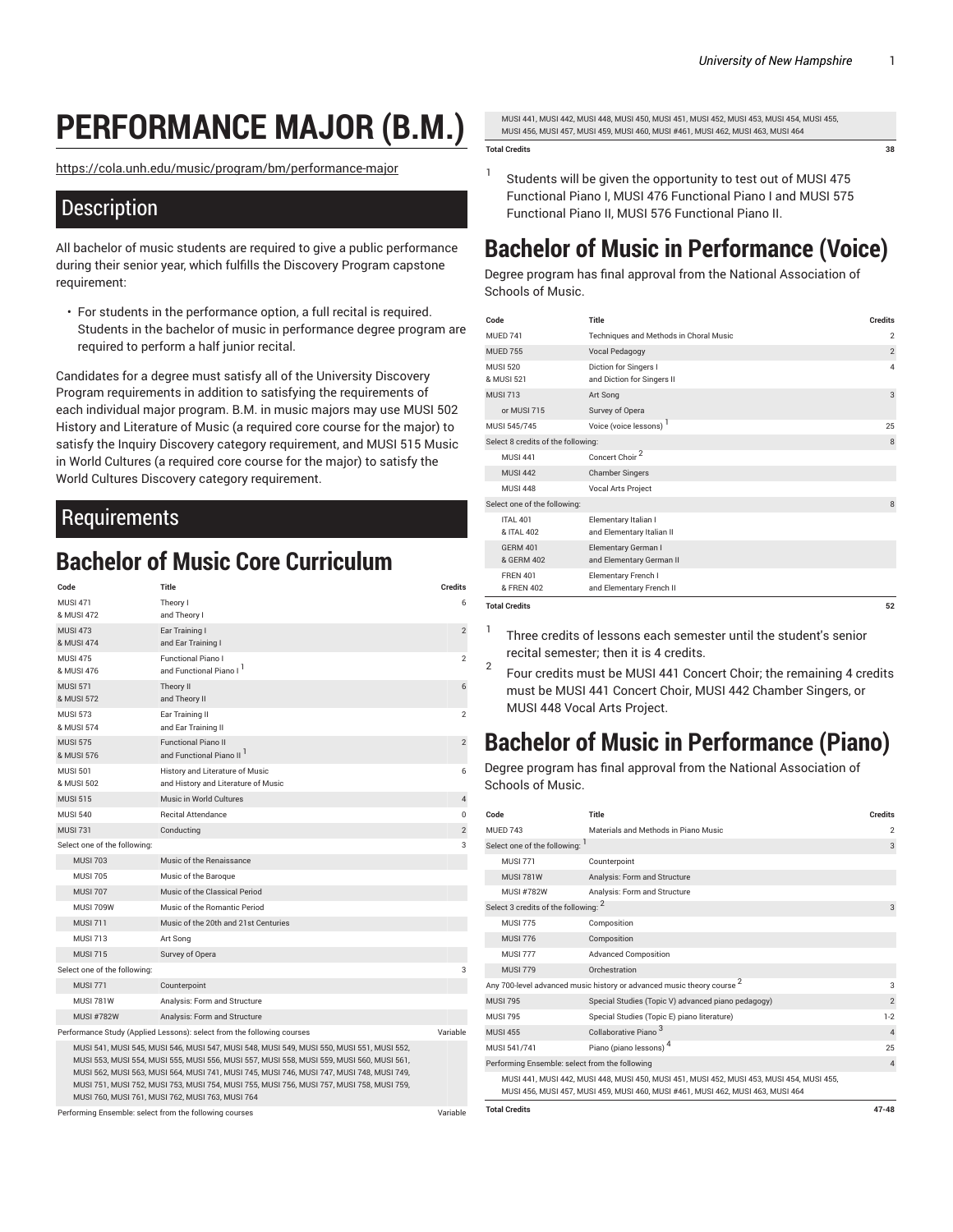# **PERFORMANCE MAJOR (B.M.)**

[https://cola.unh.edu/music/program/bm/performance-major](https://cola.unh.edu/music/program/bm/performance-major/)

### **Description**

All bachelor of music students are required to give a public performance during their senior year, which fulfills the Discovery Program capstone requirement:

• For students in the performance option, a full recital is required. Students in the bachelor of music in performance degree program are required to perform a half junior recital.

Candidates for a degree must satisfy all of the University Discovery Program requirements in addition to satisfying the requirements of each individual major program. B.M. in music majors may use MUSI 502 History and Literature of Music (a required core course for the major) to satisfy the Inquiry Discovery category requirement, and MUSI 515 Music in World Cultures (a required core course for the major) to satisfy the World Cultures Discovery category requirement.

### Requirements

## **Bachelor of Music Core Curriculum**

| Code                                                   | Title                                                                                                                                                                                                                                                                                                                                                                                                                                | <b>Credits</b> |
|--------------------------------------------------------|--------------------------------------------------------------------------------------------------------------------------------------------------------------------------------------------------------------------------------------------------------------------------------------------------------------------------------------------------------------------------------------------------------------------------------------|----------------|
| <b>MUSI 471</b>                                        | Theory I                                                                                                                                                                                                                                                                                                                                                                                                                             | 6              |
| & MUSI 472                                             | and Theory I                                                                                                                                                                                                                                                                                                                                                                                                                         |                |
| <b>MUSI 473</b>                                        | Ear Training I                                                                                                                                                                                                                                                                                                                                                                                                                       | $\overline{2}$ |
| & MUSI 474                                             | and Ear Training I                                                                                                                                                                                                                                                                                                                                                                                                                   |                |
| <b>MUSI 475</b>                                        | Functional Piano I                                                                                                                                                                                                                                                                                                                                                                                                                   | 2              |
| & MUSI 476                                             | and Functional Piano I                                                                                                                                                                                                                                                                                                                                                                                                               |                |
| <b>MUSI 571</b><br>& MUSI 572                          | Theory II                                                                                                                                                                                                                                                                                                                                                                                                                            | 6              |
| <b>MUSI 573</b>                                        | and Theory II                                                                                                                                                                                                                                                                                                                                                                                                                        | $\overline{c}$ |
| & MUSI 574                                             | Ear Training II<br>and Ear Training II                                                                                                                                                                                                                                                                                                                                                                                               |                |
| <b>MUSI 575</b>                                        | <b>Functional Piano II</b>                                                                                                                                                                                                                                                                                                                                                                                                           | $\overline{2}$ |
| & MUSI 576                                             | and Functional Piano II <sup>1</sup>                                                                                                                                                                                                                                                                                                                                                                                                 |                |
| <b>MUSI 501</b>                                        | History and Literature of Music                                                                                                                                                                                                                                                                                                                                                                                                      | 6              |
| & MUSI 502                                             | and History and Literature of Music                                                                                                                                                                                                                                                                                                                                                                                                  |                |
| <b>MUSI 515</b>                                        | Music in World Cultures                                                                                                                                                                                                                                                                                                                                                                                                              | $\overline{4}$ |
| <b>MUSI 540</b>                                        | <b>Recital Attendance</b>                                                                                                                                                                                                                                                                                                                                                                                                            | $\mathbf 0$    |
| <b>MUSI 731</b>                                        | Conducting                                                                                                                                                                                                                                                                                                                                                                                                                           | $\overline{2}$ |
| Select one of the following:                           |                                                                                                                                                                                                                                                                                                                                                                                                                                      | 3              |
| <b>MUSI 703</b>                                        | Music of the Renaissance                                                                                                                                                                                                                                                                                                                                                                                                             |                |
| <b>MUSI 705</b>                                        | Music of the Baroque                                                                                                                                                                                                                                                                                                                                                                                                                 |                |
| <b>MUSI 707</b>                                        | Music of the Classical Period                                                                                                                                                                                                                                                                                                                                                                                                        |                |
| MUSI 709W                                              | Music of the Romantic Period                                                                                                                                                                                                                                                                                                                                                                                                         |                |
| <b>MUSI 711</b>                                        | Music of the 20th and 21st Centuries                                                                                                                                                                                                                                                                                                                                                                                                 |                |
| <b>MUSI 713</b>                                        | Art Song                                                                                                                                                                                                                                                                                                                                                                                                                             |                |
| <b>MUSI 715</b>                                        | Survey of Opera                                                                                                                                                                                                                                                                                                                                                                                                                      |                |
| Select one of the following:                           |                                                                                                                                                                                                                                                                                                                                                                                                                                      | 3              |
| <b>MUSI 771</b>                                        | Counterpoint                                                                                                                                                                                                                                                                                                                                                                                                                         |                |
| <b>MUSI 781W</b>                                       | Analysis: Form and Structure                                                                                                                                                                                                                                                                                                                                                                                                         |                |
| <b>MUSI #782W</b>                                      | Analysis: Form and Structure                                                                                                                                                                                                                                                                                                                                                                                                         |                |
|                                                        | Performance Study (Applied Lessons): select from the following courses                                                                                                                                                                                                                                                                                                                                                               | Variable       |
|                                                        | MUSI 541, MUSI 545, MUSI 546, MUSI 547, MUSI 548, MUSI 549, MUSI 550, MUSI 551, MUSI 552,<br>MUSI 553, MUSI 554, MUSI 555, MUSI 556, MUSI 557, MUSI 558, MUSI 559, MUSI 560, MUSI 561,<br>MUSI 562, MUSI 563, MUSI 564, MUSI 741, MUSI 745, MUSI 746, MUSI 747, MUSI 748, MUSI 749,<br>MUSI 751, MUSI 752, MUSI 753, MUSI 754, MUSI 755, MUSI 756, MUSI 757, MUSI 758, MUSI 759,<br>MUSI 760, MUSI 761, MUSI 762, MUSI 763, MUSI 764 |                |
| Performing Ensemble: select from the following courses |                                                                                                                                                                                                                                                                                                                                                                                                                                      | Variable       |

MUSI 441, MUSI 442, MUSI 448, MUSI 450, MUSI 451, MUSI 452, MUSI 453, MUSI 454, MUSI 455, MUSI 456, MUSI 457, MUSI 459, MUSI 460, MUSI #461, MUSI 462, MUSI 463, MUSI 464

#### **Total Credits 38**

1 Students will be given the opportunity to test out of MUSI 475 Functional Piano I, MUSI 476 Functional Piano I and MUSI 575 Functional Piano II, MUSI 576 Functional Piano II.

## **Bachelor of Music in Performance (Voice)**

Degree program has final approval from the National Association of Schools of Music.

| Code                               | Title                                               | <b>Credits</b> |
|------------------------------------|-----------------------------------------------------|----------------|
| <b>MUFD 741</b>                    | Techniques and Methods in Choral Music              | $\overline{2}$ |
| <b>MUFD 755</b>                    | Vocal Pedagogy                                      | $\overline{2}$ |
| <b>MUSI 520</b><br>& MUSI 521      | Diction for Singers I<br>and Diction for Singers II | 4              |
| <b>MUSI 713</b>                    | Art Song                                            | 3              |
| or MUSI 715                        | Survey of Opera                                     |                |
| MUSI 545/745                       | Voice (voice lessons)                               | 25             |
| Select 8 credits of the following: |                                                     | 8              |
| <b>MUSI 441</b>                    | Concert Choir <sup>2</sup>                          |                |
| <b>MUSI 442</b>                    | <b>Chamber Singers</b>                              |                |
| <b>MUSI 448</b>                    | Vocal Arts Project                                  |                |
| Select one of the following:       |                                                     | 8              |
| <b>ITAI 401</b><br>& ITAI 402      | Elementary Italian I<br>and Elementary Italian II   |                |
| <b>GFRM 401</b><br>& GFRM 402      | Elementary German I<br>and Elementary German II     |                |
| <b>FRFN 401</b><br>& FREN 402      | Elementary French I<br>and Elementary French II     |                |
| <b>Total Credits</b>               |                                                     | 52             |

1

- Three credits of lessons each semester until the student's senior recital semester; then it is 4 credits.
- 2 Four credits must be MUSI 441 Concert Choir; the remaining 4 credits must be MUSI 441 Concert Choir, MUSI 442 Chamber Singers, or MUSI 448 Vocal Arts Project.

## **Bachelor of Music in Performance (Piano)**

Degree program has final approval from the National Association of Schools of Music.

| Code                                                                              | Title                                                                                                                                                                        | <b>Credits</b> |
|-----------------------------------------------------------------------------------|------------------------------------------------------------------------------------------------------------------------------------------------------------------------------|----------------|
| <b>MUFD 743</b>                                                                   | Materials and Methods in Piano Music                                                                                                                                         | $\overline{2}$ |
| Select one of the following:                                                      |                                                                                                                                                                              | 3              |
| <b>MUSI 771</b>                                                                   | Counterpoint                                                                                                                                                                 |                |
| <b>MUSI 781W</b>                                                                  | Analysis: Form and Structure                                                                                                                                                 |                |
| <b>MUSI #782W</b>                                                                 | Analysis: Form and Structure                                                                                                                                                 |                |
| Select 3 credits of the following: 2                                              |                                                                                                                                                                              |                |
| <b>MUSI 775</b>                                                                   | Composition                                                                                                                                                                  |                |
| <b>MUSI 776</b>                                                                   | Composition                                                                                                                                                                  |                |
| <b>MUSI 777</b>                                                                   | <b>Advanced Composition</b>                                                                                                                                                  |                |
| <b>MUSI 779</b>                                                                   | Orchestration                                                                                                                                                                |                |
| Any 700-level advanced music history or advanced music theory course <sup>2</sup> |                                                                                                                                                                              |                |
| <b>MUSI 795</b>                                                                   | Special Studies (Topic V) advanced piano pedagogy)                                                                                                                           | $\overline{2}$ |
| <b>MUSI 795</b>                                                                   | Special Studies (Topic E) piano literature)                                                                                                                                  | $1-2$          |
| <b>MUSI 455</b>                                                                   | Collaborative Piano <sup>3</sup>                                                                                                                                             | $\overline{4}$ |
| MUSI 541/741                                                                      | Piano (piano lessons) <sup>4</sup>                                                                                                                                           | 25             |
| Performing Ensemble: select from the following                                    |                                                                                                                                                                              | $\overline{4}$ |
|                                                                                   | MUSI 441, MUSI 442, MUSI 448, MUSI 450, MUSI 451, MUSI 452, MUSI 453, MUSI 454, MUSI 455,<br>MUSI 456, MUSI 457, MUSI 459, MUSI 460, MUSI #461, MUSI 462, MUSI 463, MUSI 464 |                |
| <b>Total Credits</b>                                                              |                                                                                                                                                                              | $47 - 48$      |